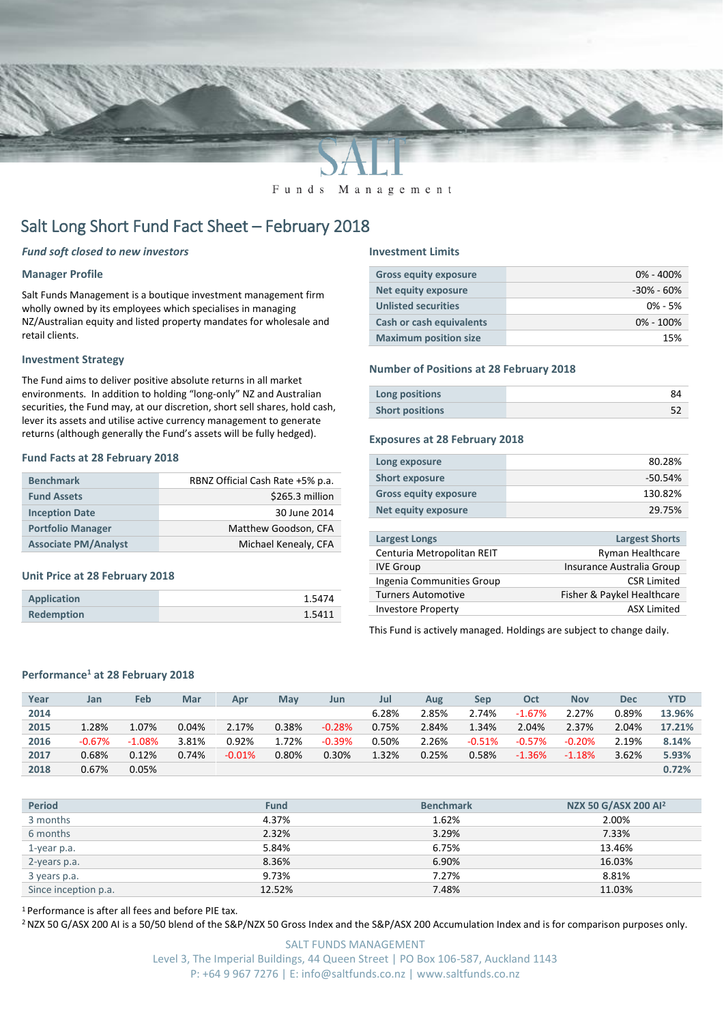

Funds Management

# Salt Long Short Fund Fact Sheet – February 2018

# *Fund soft closed to new investors*

## **Manager Profile**

Salt Funds Management is a boutique investment management firm wholly owned by its employees which specialises in managing NZ/Australian equity and listed property mandates for wholesale and retail clients.

### **Investment Strategy**

The Fund aims to deliver positive absolute returns in all market environments. In addition to holding "long-only" NZ and Australian securities, the Fund may, at our discretion, short sell shares, hold cash, lever its assets and utilise active currency management to generate returns (although generally the Fund's assets will be fully hedged).

### **Fund Facts at 28 February 2018**

| <b>Benchmark</b>            | RBNZ Official Cash Rate +5% p.a. |
|-----------------------------|----------------------------------|
| <b>Fund Assets</b>          | \$265.3 million                  |
| <b>Inception Date</b>       | 30 June 2014                     |
| <b>Portfolio Manager</b>    | Matthew Goodson, CFA             |
| <b>Associate PM/Analyst</b> | Michael Kenealy, CFA             |

#### **Unit Price at 28 February 2018**

| <b>Application</b> | 1.5474 |
|--------------------|--------|
| <b>Redemption</b>  | 1.5411 |

#### **Investment Limits**

| <b>Gross equity exposure</b> | $0\% - 400\%$  |
|------------------------------|----------------|
| <b>Net equity exposure</b>   | $-30\% - 60\%$ |
| <b>Unlisted securities</b>   | $0\% - 5\%$    |
| Cash or cash equivalents     | $0\% - 100\%$  |
| <b>Maximum position size</b> | 15%            |

#### **Number of Positions at 28 February 2018**

| Long positions         |  |
|------------------------|--|
| <b>Short positions</b> |  |

#### **Exposures at 28 February 2018**

| Long exposure                | 80.28%    |
|------------------------------|-----------|
| <b>Short exposure</b>        | $-50.54%$ |
| <b>Gross equity exposure</b> | 130.82%   |
| Net equity exposure          | 29.75%    |
|                              |           |

| <b>Largest Longs</b>       | <b>Largest Shorts</b>      |
|----------------------------|----------------------------|
| Centuria Metropolitan REIT | <b>Ryman Healthcare</b>    |
| <b>IVE Group</b>           | Insurance Australia Group  |
| Ingenia Communities Group  | <b>CSR Limited</b>         |
| <b>Turners Automotive</b>  | Fisher & Paykel Healthcare |
| <b>Investore Property</b>  | <b>ASX Limited</b>         |
|                            |                            |

This Fund is actively managed. Holdings are subject to change daily.

## **Performance<sup>1</sup> at 28 February 2018**

|      |          |          |       |          |            |          |       |       |          |          |            |       | <b>YTD</b> |
|------|----------|----------|-------|----------|------------|----------|-------|-------|----------|----------|------------|-------|------------|
| Year | Jan      | Feb      | Mar   | Apr      | <b>May</b> | Jun      | Jul   | Aug   | Sep      | Oct      | <b>Nov</b> | Dec   |            |
| 2014 |          |          |       |          |            |          | 6.28% | 2.85% | 2.74%    | $-1.67%$ | 2.27%      | 0.89% | 13.96%     |
| 2015 | 1.28%    | 1.07%    | 0.04% | 2.17%    | 0.38%      | $-0.28%$ | 0.75% | 2.84% | 1.34%    | 2.04%    | 2.37%      | 2.04% | 17.21%     |
| 2016 | $-0.67%$ | $-1.08%$ | 3.81% | 0.92%    | 1.72%      | $-0.39%$ | 0.50% | 2.26% | $-0.51%$ | $-0.57%$ | $-0.20%$   | 2.19% | 8.14%      |
| 2017 | 0.68%    | 0.12%    | 0.74% | $-0.01%$ | 0.80%      | 0.30%    | 1.32% | 0.25% | 0.58%    | $-1.36%$ | $-1.18%$   | 3.62% | 5.93%      |
| 2018 | 0.67%    | 0.05%    |       |          |            |          |       |       |          |          |            |       | 0.72%      |

| <b>Period</b>        | <b>Fund</b> | <b>Benchmark</b> | NZX 50 G/ASX 200 Al <sup>2</sup> |
|----------------------|-------------|------------------|----------------------------------|
| 3 months             | 4.37%       | 1.62%            | 2.00%                            |
| 6 months             | 2.32%       | 3.29%            | 7.33%                            |
| 1-year p.a.          | 5.84%       | 6.75%            | 13.46%                           |
| 2-years p.a.         | 8.36%       | 6.90%            | 16.03%                           |
| 3 years p.a.         | 9.73%       | 7.27%            | 8.81%                            |
| Since inception p.a. | 12.52%      | 7.48%            | 11.03%                           |

<sup>1</sup> Performance is after all fees and before PIE tax.

<sup>2</sup> NZX 50 G/ASX 200 AI is a 50/50 blend of the S&P/NZX 50 Gross Index and the S&P/ASX 200 Accumulation Index and is for comparison purposes only.

SALT FUNDS MANAGEMENT Level 3, The Imperial Buildings, 44 Queen Street | PO Box 106-587, Auckland 1143 P: +64 9 967 7276 | E: info@saltfunds.co.nz | www.saltfunds.co.nz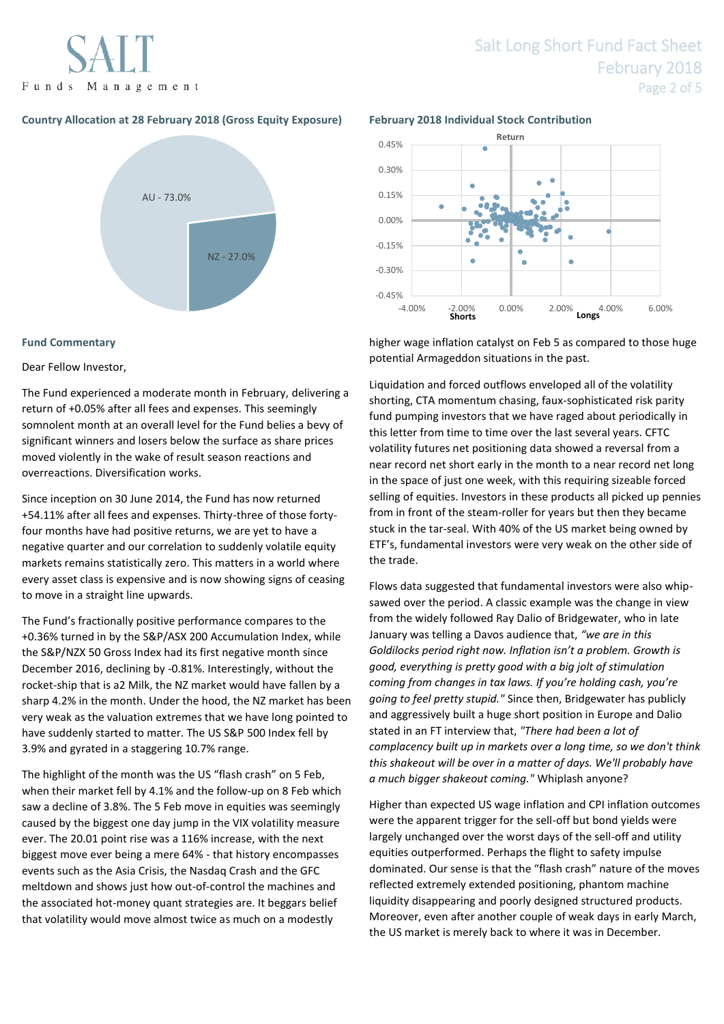

# Salt Long Short Fund Fact Sheet February 2018 Page 2 of 5

# **Country Allocation at 28 February 2018 (Gross Equity Exposure) February 2018 Individual Stock Contribution**



# **Fund Commentary**

# Dear Fellow Investor,

The Fund experienced a moderate month in February, delivering a return of +0.05% after all fees and expenses. This seemingly somnolent month at an overall level for the Fund belies a bevy of significant winners and losers below the surface as share prices moved violently in the wake of result season reactions and overreactions. Diversification works.

Since inception on 30 June 2014, the Fund has now returned +54.11% after all fees and expenses. Thirty-three of those fortyfour months have had positive returns, we are yet to have a negative quarter and our correlation to suddenly volatile equity markets remains statistically zero. This matters in a world where every asset class is expensive and is now showing signs of ceasing to move in a straight line upwards.

The Fund's fractionally positive performance compares to the +0.36% turned in by the S&P/ASX 200 Accumulation Index, while the S&P/NZX 50 Gross Index had its first negative month since December 2016, declining by -0.81%. Interestingly, without the rocket-ship that is a2 Milk, the NZ market would have fallen by a sharp 4.2% in the month. Under the hood, the NZ market has been very weak as the valuation extremes that we have long pointed to have suddenly started to matter. The US S&P 500 Index fell by 3.9% and gyrated in a staggering 10.7% range.

The highlight of the month was the US "flash crash" on 5 Feb, when their market fell by 4.1% and the follow-up on 8 Feb which saw a decline of 3.8%. The 5 Feb move in equities was seemingly caused by the biggest one day jump in the VIX volatility measure ever. The 20.01 point rise was a 116% increase, with the next biggest move ever being a mere 64% - that history encompasses events such as the Asia Crisis, the Nasdaq Crash and the GFC meltdown and shows just how out-of-control the machines and the associated hot-money quant strategies are. It beggars belief that volatility would move almost twice as much on a modestly



higher wage inflation catalyst on Feb 5 as compared to those huge potential Armageddon situations in the past.

Liquidation and forced outflows enveloped all of the volatility shorting, CTA momentum chasing, faux-sophisticated risk parity fund pumping investors that we have raged about periodically in this letter from time to time over the last several years. CFTC volatility futures net positioning data showed a reversal from a near record net short early in the month to a near record net long in the space of just one week, with this requiring sizeable forced selling of equities. Investors in these products all picked up pennies from in front of the steam-roller for years but then they became stuck in the tar-seal. With 40% of the US market being owned by ETF's, fundamental investors were very weak on the other side of the trade.

Flows data suggested that fundamental investors were also whipsawed over the period. A classic example was the change in view from the widely followed Ray Dalio of Bridgewater, who in late January was telling a Davos audience that, *"we are in this Goldilocks period right now. Inflation isn't a problem. Growth is good, everything is pretty good with a big jolt of stimulation coming from changes in tax laws. If you're holding cash, you're going to feel pretty stupid."* Since then, Bridgewater has publicly and aggressively built a huge short position in Europe and Dalio stated in an FT interview that, *"There had been a lot of complacency built up in markets over a long time, so we don't think this shakeout will be over in a matter of days. We'll probably have a much bigger shakeout coming."* Whiplash anyone?

Higher than expected US wage inflation and CPI inflation outcomes were the apparent trigger for the sell-off but bond yields were largely unchanged over the worst days of the sell-off and utility equities outperformed. Perhaps the flight to safety impulse dominated. Our sense is that the "flash crash" nature of the moves reflected extremely extended positioning, phantom machine liquidity disappearing and poorly designed structured products. Moreover, even after another couple of weak days in early March, the US market is merely back to where it was in December.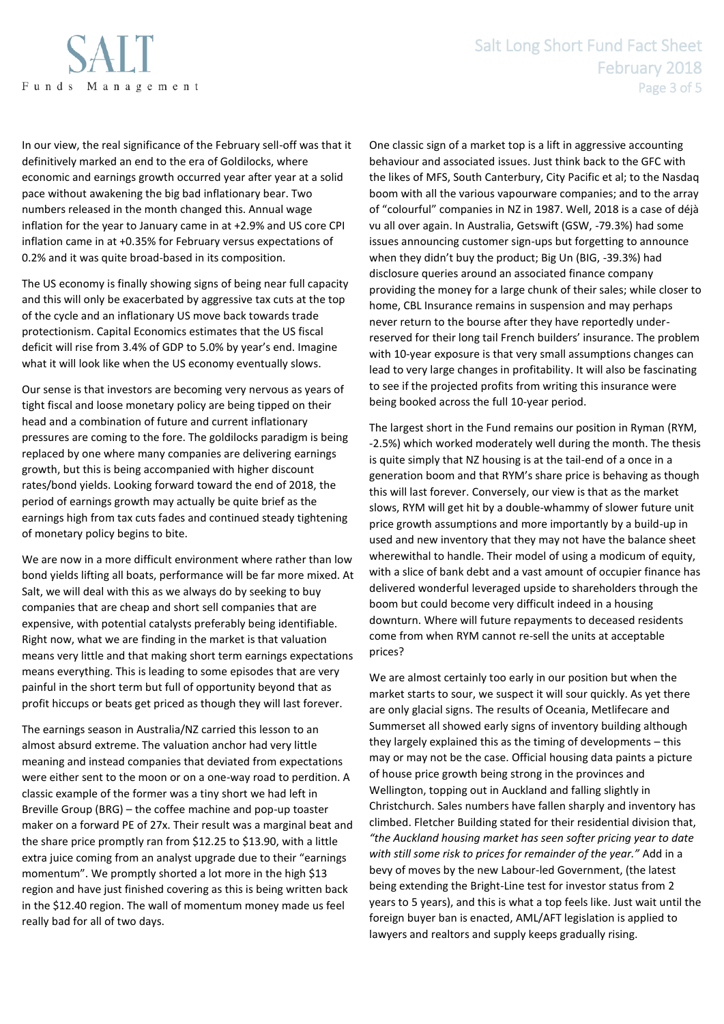

In our view, the real significance of the February sell-off was that it definitively marked an end to the era of Goldilocks, where economic and earnings growth occurred year after year at a solid pace without awakening the big bad inflationary bear. Two numbers released in the month changed this. Annual wage inflation for the year to January came in at +2.9% and US core CPI inflation came in at +0.35% for February versus expectations of 0.2% and it was quite broad-based in its composition.

The US economy is finally showing signs of being near full capacity and this will only be exacerbated by aggressive tax cuts at the top of the cycle and an inflationary US move back towards trade protectionism. Capital Economics estimates that the US fiscal deficit will rise from 3.4% of GDP to 5.0% by year's end. Imagine what it will look like when the US economy eventually slows.

Our sense is that investors are becoming very nervous as years of tight fiscal and loose monetary policy are being tipped on their head and a combination of future and current inflationary pressures are coming to the fore. The goldilocks paradigm is being replaced by one where many companies are delivering earnings growth, but this is being accompanied with higher discount rates/bond yields. Looking forward toward the end of 2018, the period of earnings growth may actually be quite brief as the earnings high from tax cuts fades and continued steady tightening of monetary policy begins to bite.

We are now in a more difficult environment where rather than low bond yields lifting all boats, performance will be far more mixed. At Salt, we will deal with this as we always do by seeking to buy companies that are cheap and short sell companies that are expensive, with potential catalysts preferably being identifiable. Right now, what we are finding in the market is that valuation means very little and that making short term earnings expectations means everything. This is leading to some episodes that are very painful in the short term but full of opportunity beyond that as profit hiccups or beats get priced as though they will last forever.

The earnings season in Australia/NZ carried this lesson to an almost absurd extreme. The valuation anchor had very little meaning and instead companies that deviated from expectations were either sent to the moon or on a one-way road to perdition. A classic example of the former was a tiny short we had left in Breville Group (BRG) – the coffee machine and pop-up toaster maker on a forward PE of 27x. Their result was a marginal beat and the share price promptly ran from \$12.25 to \$13.90, with a little extra juice coming from an analyst upgrade due to their "earnings momentum". We promptly shorted a lot more in the high \$13 region and have just finished covering as this is being written back in the \$12.40 region. The wall of momentum money made us feel really bad for all of two days.

One classic sign of a market top is a lift in aggressive accounting behaviour and associated issues. Just think back to the GFC with the likes of MFS, South Canterbury, City Pacific et al; to the Nasdaq boom with all the various vapourware companies; and to the array of "colourful" companies in NZ in 1987. Well, 2018 is a case of déjà vu all over again. In Australia, Getswift (GSW, -79.3%) had some issues announcing customer sign-ups but forgetting to announce when they didn't buy the product; Big Un (BIG, -39.3%) had disclosure queries around an associated finance company providing the money for a large chunk of their sales; while closer to home, CBL Insurance remains in suspension and may perhaps never return to the bourse after they have reportedly underreserved for their long tail French builders' insurance. The problem with 10-year exposure is that very small assumptions changes can lead to very large changes in profitability. It will also be fascinating to see if the projected profits from writing this insurance were being booked across the full 10-year period.

The largest short in the Fund remains our position in Ryman (RYM, -2.5%) which worked moderately well during the month. The thesis is quite simply that NZ housing is at the tail-end of a once in a generation boom and that RYM's share price is behaving as though this will last forever. Conversely, our view is that as the market slows, RYM will get hit by a double-whammy of slower future unit price growth assumptions and more importantly by a build-up in used and new inventory that they may not have the balance sheet wherewithal to handle. Their model of using a modicum of equity, with a slice of bank debt and a vast amount of occupier finance has delivered wonderful leveraged upside to shareholders through the boom but could become very difficult indeed in a housing downturn. Where will future repayments to deceased residents come from when RYM cannot re-sell the units at acceptable prices?

We are almost certainly too early in our position but when the market starts to sour, we suspect it will sour quickly. As yet there are only glacial signs. The results of Oceania, Metlifecare and Summerset all showed early signs of inventory building although they largely explained this as the timing of developments – this may or may not be the case. Official housing data paints a picture of house price growth being strong in the provinces and Wellington, topping out in Auckland and falling slightly in Christchurch. Sales numbers have fallen sharply and inventory has climbed. Fletcher Building stated for their residential division that, *"the Auckland housing market has seen softer pricing year to date with still some risk to prices for remainder of the year."* Add in a bevy of moves by the new Labour-led Government, (the latest being extending the Bright-Line test for investor status from 2 years to 5 years), and this is what a top feels like. Just wait until the foreign buyer ban is enacted, AML/AFT legislation is applied to lawyers and realtors and supply keeps gradually rising.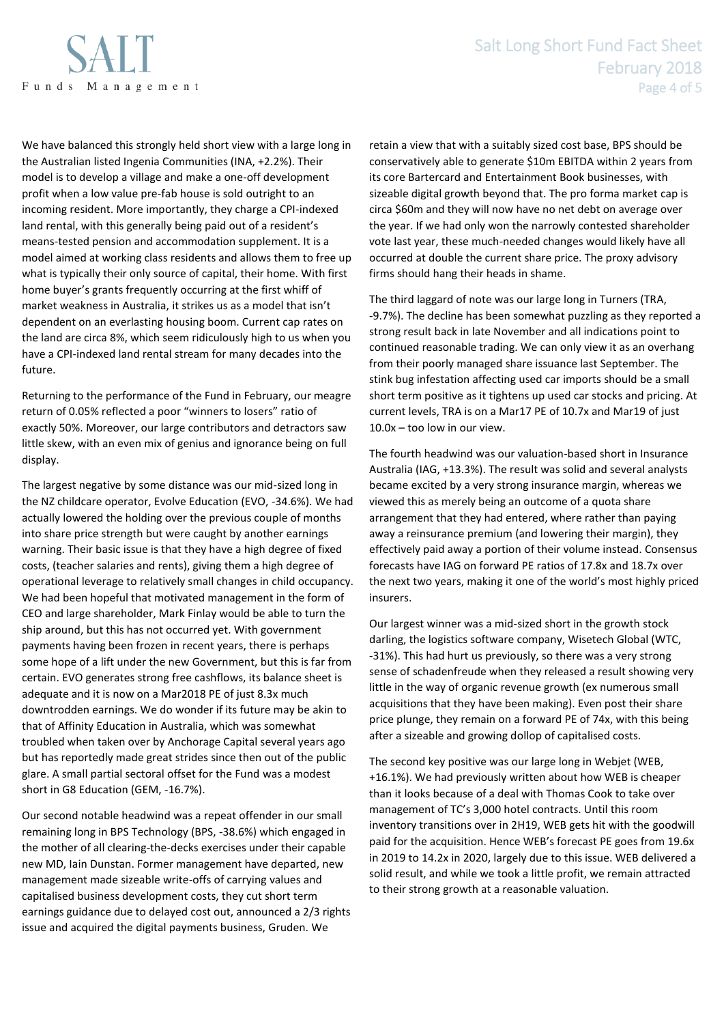

We have balanced this strongly held short view with a large long in the Australian listed Ingenia Communities (INA, +2.2%). Their model is to develop a village and make a one-off development profit when a low value pre-fab house is sold outright to an incoming resident. More importantly, they charge a CPI-indexed land rental, with this generally being paid out of a resident's means-tested pension and accommodation supplement. It is a model aimed at working class residents and allows them to free up what is typically their only source of capital, their home. With first home buyer's grants frequently occurring at the first whiff of market weakness in Australia, it strikes us as a model that isn't dependent on an everlasting housing boom. Current cap rates on the land are circa 8%, which seem ridiculously high to us when you have a CPI-indexed land rental stream for many decades into the future.

Returning to the performance of the Fund in February, our meagre return of 0.05% reflected a poor "winners to losers" ratio of exactly 50%. Moreover, our large contributors and detractors saw little skew, with an even mix of genius and ignorance being on full display.

The largest negative by some distance was our mid-sized long in the NZ childcare operator, Evolve Education (EVO, -34.6%). We had actually lowered the holding over the previous couple of months into share price strength but were caught by another earnings warning. Their basic issue is that they have a high degree of fixed costs, (teacher salaries and rents), giving them a high degree of operational leverage to relatively small changes in child occupancy. We had been hopeful that motivated management in the form of CEO and large shareholder, Mark Finlay would be able to turn the ship around, but this has not occurred yet. With government payments having been frozen in recent years, there is perhaps some hope of a lift under the new Government, but this is far from certain. EVO generates strong free cashflows, its balance sheet is adequate and it is now on a Mar2018 PE of just 8.3x much downtrodden earnings. We do wonder if its future may be akin to that of Affinity Education in Australia, which was somewhat troubled when taken over by Anchorage Capital several years ago but has reportedly made great strides since then out of the public glare. A small partial sectoral offset for the Fund was a modest short in G8 Education (GEM, -16.7%).

Our second notable headwind was a repeat offender in our small remaining long in BPS Technology (BPS, -38.6%) which engaged in the mother of all clearing-the-decks exercises under their capable new MD, Iain Dunstan. Former management have departed, new management made sizeable write-offs of carrying values and capitalised business development costs, they cut short term earnings guidance due to delayed cost out, announced a 2/3 rights issue and acquired the digital payments business, Gruden. We

retain a view that with a suitably sized cost base, BPS should be conservatively able to generate \$10m EBITDA within 2 years from its core Bartercard and Entertainment Book businesses, with sizeable digital growth beyond that. The pro forma market cap is circa \$60m and they will now have no net debt on average over the year. If we had only won the narrowly contested shareholder vote last year, these much-needed changes would likely have all occurred at double the current share price. The proxy advisory firms should hang their heads in shame.

The third laggard of note was our large long in Turners (TRA, -9.7%). The decline has been somewhat puzzling as they reported a strong result back in late November and all indications point to continued reasonable trading. We can only view it as an overhang from their poorly managed share issuance last September. The stink bug infestation affecting used car imports should be a small short term positive as it tightens up used car stocks and pricing. At current levels, TRA is on a Mar17 PE of 10.7x and Mar19 of just 10.0x – too low in our view.

The fourth headwind was our valuation-based short in Insurance Australia (IAG, +13.3%). The result was solid and several analysts became excited by a very strong insurance margin, whereas we viewed this as merely being an outcome of a quota share arrangement that they had entered, where rather than paying away a reinsurance premium (and lowering their margin), they effectively paid away a portion of their volume instead. Consensus forecasts have IAG on forward PE ratios of 17.8x and 18.7x over the next two years, making it one of the world's most highly priced insurers.

Our largest winner was a mid-sized short in the growth stock darling, the logistics software company, Wisetech Global (WTC, -31%). This had hurt us previously, so there was a very strong sense of schadenfreude when they released a result showing very little in the way of organic revenue growth (ex numerous small acquisitions that they have been making). Even post their share price plunge, they remain on a forward PE of 74x, with this being after a sizeable and growing dollop of capitalised costs.

The second key positive was our large long in Webjet (WEB, +16.1%). We had previously written about how WEB is cheaper than it looks because of a deal with Thomas Cook to take over management of TC's 3,000 hotel contracts. Until this room inventory transitions over in 2H19, WEB gets hit with the goodwill paid for the acquisition. Hence WEB's forecast PE goes from 19.6x in 2019 to 14.2x in 2020, largely due to this issue. WEB delivered a solid result, and while we took a little profit, we remain attracted to their strong growth at a reasonable valuation.